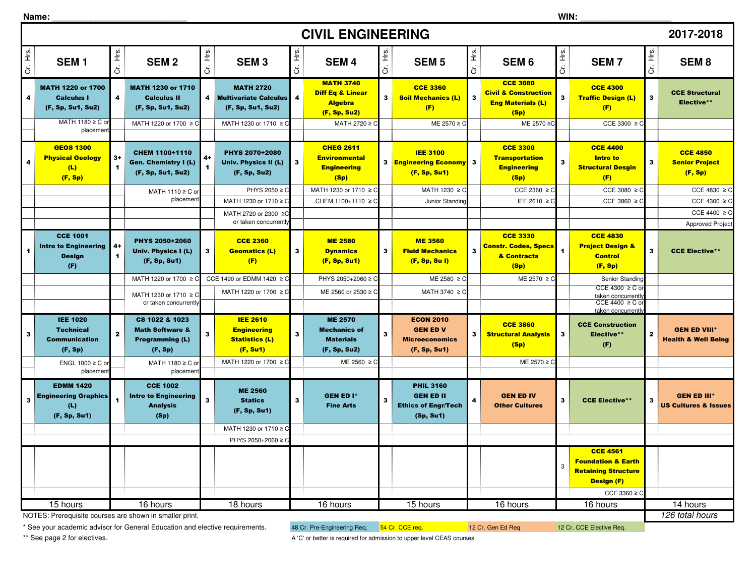| Name: |  |  |  |  |  |  |
|-------|--|--|--|--|--|--|
|       |  |  |  |  |  |  |

|                         | <b>CIVIL ENGINEERING</b><br>2017-2018                                              |                              |                                                                                       |                         |                                                                            |              |                                                                                   |                |                                                                                 |              |                                                                                        |                         |                                                                                                                     |              |                                                       |
|-------------------------|------------------------------------------------------------------------------------|------------------------------|---------------------------------------------------------------------------------------|-------------------------|----------------------------------------------------------------------------|--------------|-----------------------------------------------------------------------------------|----------------|---------------------------------------------------------------------------------|--------------|----------------------------------------------------------------------------------------|-------------------------|---------------------------------------------------------------------------------------------------------------------|--------------|-------------------------------------------------------|
| Cr. Hrs.                | SEM <sub>1</sub>                                                                   | Ηg.<br>ä                     | <b>SEM2</b>                                                                           | ί.<br>Ξ<br>ö            | <b>SEM3</b>                                                                | غ<br>±<br>ö  | <b>SEM4</b>                                                                       | Cr. Hrs.       | <b>SEM<sub>5</sub></b>                                                          | Cr. Hrs.     | SEM <sub>6</sub>                                                                       | Cr. Hrs.                | <b>SEM7</b>                                                                                                         | Ξ.<br>ä      | SEM <sub>8</sub>                                      |
| $\overline{\mathbf{4}}$ | MATH 1220 or 1700<br><b>Calculus I</b><br>(F, Sp, Su1, Su2)                        | $\overline{\mathbf{4}}$      | <b>MATH 1230 or 1710</b><br><b>Calculus II</b><br>(F, Sp, Su1, Su2)                   | 4                       | <b>MATH 2720</b><br><b>Multivariate Calculus</b><br>(F, Sp, Su1, Su2)      | 4            | <b>MATH 3740</b><br><b>Diff Eq &amp; Linear</b><br><b>Algebra</b><br>(F, Sp, Su2) | 3 <sup>1</sup> | <b>CCE 3360</b><br><b>Soil Mechanics (L)</b><br>(F)                             | $\mathbf{3}$ | <b>CCE 3080</b><br><b>Civil &amp; Construction</b><br><b>Eng Materials (L)</b><br>(Sp) | $\overline{\mathbf{3}}$ | <b>CCE 4300</b><br><b>Traffic Design (L)</b><br>(F)                                                                 | $\mathbf{3}$ | <b>CCE Structural</b><br>Elective**                   |
|                         | MATH 1180 ≥ C or<br>placemen                                                       |                              | MATH 1220 or 1700 ≥ 0                                                                 |                         | MATH 1230 or 1710 ≥ C                                                      |              | MATH 2720 ≥ C                                                                     |                | ME 2570 ≥ 0                                                                     |              | ME 2570 ≥0                                                                             |                         | CCE 3300 $\geq$ C                                                                                                   |              |                                                       |
|                         | <b>GEOS 1300</b><br><b>Physical Geology</b><br>(L)<br>(F, Sp)                      | $3+$<br>$\blacktriangleleft$ | CHEM 1100+1110<br><b>Gen. Chemistry I (L)</b><br>(F, Sp, Su1, Su2)                    | 4+                      | <b>PHYS 2070+2080</b><br>Univ. Physics II (L)<br>(F, Sp, Su2)              | 3            | <b>CHEG 2611</b><br><b>Environmental</b><br><b>Engineering</b><br>(Sp)            |                | <b>IEE 3100</b><br>3 <b>Engineering Economy</b> 3<br>(F, Sp, Su1)               |              | <b>CCE 3300</b><br><b>Transportation</b><br><b>Engineering</b><br>(Sp)                 | $\overline{\mathbf{3}}$ | <b>CCE 4400</b><br><b>Intro to</b><br><b>Structural Desgin</b><br>(F)                                               | $\mathbf{3}$ | <b>CCE 4850</b><br><b>Senior Project</b><br>(F, Sp)   |
|                         |                                                                                    |                              | MATH 1110 ≥ C or                                                                      |                         | PHYS 2050 ≥ C                                                              |              | MATH 1230 or 1710 ≥ C                                                             |                | MATH 1230 ≥ C                                                                   |              | CCE 2360 $\geq$ C                                                                      |                         | CCE 3080 $\geq$ C                                                                                                   |              | CCE 4830 $\geq$ C                                     |
|                         |                                                                                    |                              | placemen                                                                              |                         | MATH 1230 or 1710 ≥ 0                                                      |              | CHEM 1100+1110 ≥ C                                                                |                | Junior Standing                                                                 |              | IEE 2610 ≥ C                                                                           |                         | CCE 3860 $\geq$ C                                                                                                   |              | CCE 4300 $\geq$ C<br>CCE 4400 $\geq$ C                |
|                         |                                                                                    |                              |                                                                                       |                         | MATH 2720 or 2300 ≥C<br>or taken concurrently                              |              |                                                                                   |                |                                                                                 |              |                                                                                        |                         |                                                                                                                     |              | Approved Projec                                       |
| $\blacktriangleleft$    | <b>CCE 1001</b><br><b>Intro to Engineering</b><br><b>Design</b><br>(F)             | 4+<br>$\blacktriangleleft$   | PHYS 2050+2060<br>Univ. Physics I (L)<br>(F, Sp, Su1)                                 | $\mathbf{3}$            | <b>CCE 2360</b><br><b>Geomatics (L)</b><br>(F)                             | $\mathbf{3}$ | <b>ME 2580</b><br><b>Dynamics</b><br>(F, Sp, Su1)                                 | 3              | <b>ME 3560</b><br><b>Fluid Mechanics</b><br>(F, Sp, Su I)                       | $\mathbf{3}$ | <b>CCE 3330</b><br><b>Constr. Codes, Specs</b><br>& Contracts<br>(Sp)                  | $\blacktriangleleft$    | <b>CCE 4830</b><br><b>Project Design &amp;</b><br><b>Control</b><br>(F, Sp)                                         | 3            | <b>CCE Elective**</b>                                 |
|                         |                                                                                    |                              | MATH 1220 or 1700 ≥                                                                   |                         | CCE 1490 or EDMM 1420 ≥ C                                                  |              | PHYS 2050+2060 ≥ 0                                                                |                | $ME 2580 \ge C$                                                                 |              | ME 2570 ≥ C                                                                            |                         | Senior Standing                                                                                                     |              |                                                       |
|                         |                                                                                    |                              | MATH 1230 or 1710 ≥ C<br>or taken concurrently                                        |                         | MATH 1220 or 1700 ≥ C                                                      |              | ME 2560 or 2530 ≥ 0                                                               |                | MATH 3740 ≥ C                                                                   |              |                                                                                        |                         | CCE 4300 $\geq$ C o<br>taken concurrently<br>$CCE 4400 \geq C$ of<br>taken concurrently                             |              |                                                       |
| $\mathbf{3}$            | <b>IEE 1020</b><br><b>Technical</b><br><b>Communication</b><br>(F, Sp)             | $\mathbf{2}$                 | CS 1022 & 1023<br><b>Math Software &amp;</b><br><b>Programming (L)</b><br>(F, Sp)     | 3                       | <b>IEE 2610</b><br><b>Engineering</b><br><b>Statistics (L)</b><br>(F, Su1) | 3            | <b>ME 2570</b><br><b>Mechanics of</b><br><b>Materials</b><br>(F, Sp, Su2)         | 3              | <b>ECON 2010</b><br><b>GEN ED V</b><br><b>Microeconomics</b><br>(F, Sp, Su1)    | $\mathbf{3}$ | <b>CCE 3860</b><br><b>Structural Analysis</b><br>(Sp)                                  | $\mathbf{3}$            | <b>CCE Construction</b><br>Elective**<br>(F)                                                                        | $\mathbf{z}$ | <b>GEN ED VIII*</b><br><b>Health &amp; Well Being</b> |
|                         | ENGL 1000 ≥ C or                                                                   |                              | MATH 1180 ≥ C or                                                                      |                         | MATH 1220 or 1700 ≥ C                                                      |              | ME 2560 $\geq$ C                                                                  |                |                                                                                 |              | ME 2570 ≥ C                                                                            |                         |                                                                                                                     |              |                                                       |
| $\overline{\mathbf{3}}$ | placemen<br><b>EDMM 1420</b><br><b>Engineering Graphics</b><br>(L)<br>(F, Sp, Su1) |                              | placemen<br><b>CCE 1002</b><br><b>Intro to Engineering</b><br><b>Analysis</b><br>(Sp) | $\overline{\mathbf{3}}$ | <b>ME 2560</b><br><b>Statics</b><br>(F, Sp, Su1)                           | 3            | <b>GEN ED I*</b><br><b>Fine Arts</b>                                              | 3              | <b>PHIL 3160</b><br><b>GEN ED II</b><br><b>Ethics of Engr/Tech</b><br>(Sp, Su1) | 4            | <b>GEN ED IV</b><br><b>Other Cultures</b>                                              | $\overline{\mathbf{3}}$ | <b>CCE Elective**</b>                                                                                               | 3            | <b>GEN ED III*</b><br><b>US Cultures &amp; Issues</b> |
|                         |                                                                                    |                              |                                                                                       |                         | MATH 1230 or 1710 ≥ C<br>PHYS 2050+2060 ≥ C                                |              |                                                                                   |                |                                                                                 |              |                                                                                        |                         |                                                                                                                     |              |                                                       |
|                         |                                                                                    |                              |                                                                                       |                         |                                                                            |              |                                                                                   |                |                                                                                 |              |                                                                                        | 3                       | <b>CCE 4561</b><br><b>Foundation &amp; Earth</b><br><b>Retaining Structure</b><br><b>Design (F)</b><br>CCE 3360 ≥ C |              |                                                       |
|                         | 15 hours                                                                           |                              | 16 hours                                                                              |                         | 18 hours                                                                   |              | 16 hours                                                                          |                | 15 hours                                                                        |              | 16 hours                                                                               |                         | 16 hours                                                                                                            |              | $\overline{14}$ hours                                 |
|                         | 126 total hours<br>NOTES: Prerequisite courses are shown in smaller print.         |                              |                                                                                       |                         |                                                                            |              |                                                                                   |                |                                                                                 |              |                                                                                        |                         |                                                                                                                     |              |                                                       |

NOTES: Prerequisite courses are shown in smaller print.

\* See your academic advisor for General Education and elective requirements. 48 Cr. Pre-Engineering Req. 54 Cr. CCE req. 12 Cr. Gen Ed Req 12 Cr. CCE Elective Req.

\*\* See page 2 for electives.

A 'C' or better is required for admission to upper level CEAS courses